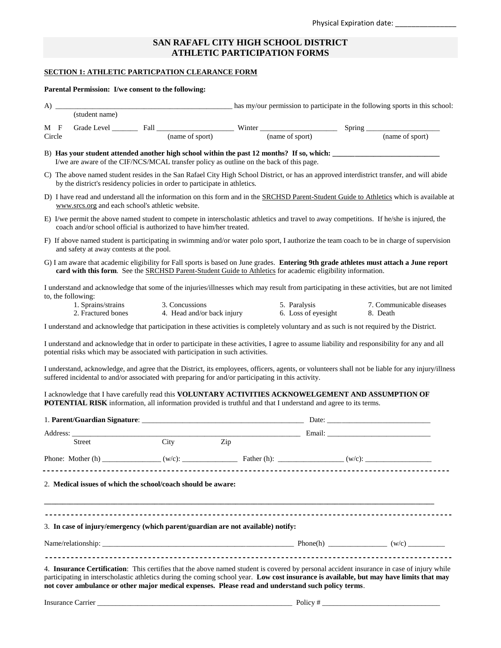## **SAN RAFAFL CITY HIGH SCHOOL DISTRICT ATHLETIC PARTICIPATION FORMS**

# **SECTION 1: ATHLETIC PARTICPATION CLEARANCE FORM**

#### **Parental Permission: I/we consent to the following:**

| $A)$ $\equiv$                            |                                                                                |                                                                                                                                                                                                                       |                                     | has my/our permission to participate in the following sports in this school:                                                                                                                                                                                                         |
|------------------------------------------|--------------------------------------------------------------------------------|-----------------------------------------------------------------------------------------------------------------------------------------------------------------------------------------------------------------------|-------------------------------------|--------------------------------------------------------------------------------------------------------------------------------------------------------------------------------------------------------------------------------------------------------------------------------------|
| (student name)                           |                                                                                |                                                                                                                                                                                                                       |                                     |                                                                                                                                                                                                                                                                                      |
| M F<br>Circle                            |                                                                                |                                                                                                                                                                                                                       |                                     |                                                                                                                                                                                                                                                                                      |
|                                          |                                                                                | I/we are aware of the CIF/NCS/MCAL transfer policy as outline on the back of this page.                                                                                                                               |                                     |                                                                                                                                                                                                                                                                                      |
|                                          | by the district's residency policies in order to participate in athletics.     |                                                                                                                                                                                                                       |                                     | C) The above named student resides in the San Rafael City High School District, or has an approved interdistrict transfer, and will abide                                                                                                                                            |
|                                          | www.srcs.org and each school's athletic website.                               |                                                                                                                                                                                                                       |                                     | D) I have read and understand all the information on this form and in the SRCHSD Parent-Student Guide to Athletics which is available at                                                                                                                                             |
|                                          | coach and/or school official is authorized to have him/her treated.            |                                                                                                                                                                                                                       |                                     | E) I/we permit the above named student to compete in interscholastic athletics and travel to away competitions. If he/she is injured, the                                                                                                                                            |
| and safety at away contests at the pool. |                                                                                |                                                                                                                                                                                                                       |                                     | F) If above named student is participating in swimming and/or water polo sport, I authorize the team coach to be in charge of supervision                                                                                                                                            |
|                                          |                                                                                | card with this form. See the SRCHSD Parent-Student Guide to Athletics for academic eligibility information.                                                                                                           |                                     | G) I am aware that academic eligibility for Fall sports is based on June grades. Entering 9th grade athletes must attach a June report                                                                                                                                               |
| to, the following:                       |                                                                                |                                                                                                                                                                                                                       |                                     | I understand and acknowledge that some of the injuries/illnesses which may result from participating in these activities, but are not limited                                                                                                                                        |
| 1. Sprains/strains<br>2. Fractured bones | 3. Concussions                                                                 | 4. Head and/or back injury                                                                                                                                                                                            | 5. Paralysis<br>6. Loss of eyesight | 7. Communicable diseases<br>8. Death                                                                                                                                                                                                                                                 |
|                                          |                                                                                |                                                                                                                                                                                                                       |                                     | I understand and acknowledge that participation in these activities is completely voluntary and as such is not required by the District.                                                                                                                                             |
|                                          | potential risks which may be associated with participation in such activities. |                                                                                                                                                                                                                       |                                     | I understand and acknowledge that in order to participate in these activities, I agree to assume liability and responsibility for any and all                                                                                                                                        |
|                                          |                                                                                | suffered incidental to and/or associated with preparing for and/or participating in this activity.                                                                                                                    |                                     | I understand, acknowledge, and agree that the District, its employees, officers, agents, or volunteers shall not be liable for any injury/illness                                                                                                                                    |
|                                          |                                                                                | I acknowledge that I have carefully read this VOLUNTARY ACTIVITIES ACKNOWELGEMENT AND ASSUMPTION OF<br>POTENTIAL RISK information, all information provided is truthful and that I understand and agree to its terms. |                                     |                                                                                                                                                                                                                                                                                      |
|                                          |                                                                                |                                                                                                                                                                                                                       |                                     |                                                                                                                                                                                                                                                                                      |
|                                          |                                                                                |                                                                                                                                                                                                                       |                                     |                                                                                                                                                                                                                                                                                      |
|                                          |                                                                                |                                                                                                                                                                                                                       |                                     |                                                                                                                                                                                                                                                                                      |
|                                          |                                                                                |                                                                                                                                                                                                                       |                                     |                                                                                                                                                                                                                                                                                      |
|                                          | 2. Medical issues of which the school/coach should be aware:                   |                                                                                                                                                                                                                       |                                     |                                                                                                                                                                                                                                                                                      |
|                                          |                                                                                |                                                                                                                                                                                                                       |                                     |                                                                                                                                                                                                                                                                                      |
|                                          |                                                                                | 3. In case of injury/emergency (which parent/guardian are not available) notify:                                                                                                                                      |                                     |                                                                                                                                                                                                                                                                                      |
|                                          |                                                                                |                                                                                                                                                                                                                       |                                     |                                                                                                                                                                                                                                                                                      |
|                                          |                                                                                | not cover ambulance or other major medical expenses. Please read and understand such policy terms.                                                                                                                    |                                     | 4. Insurance Certification: This certifies that the above named student is covered by personal accident insurance in case of injury while<br>participating in interscholastic athletics during the coming school year. Low cost insurance is available, but may have limits that may |

Insurance Carrier \_\_\_\_\_\_\_\_\_\_\_\_\_\_\_\_\_\_\_\_\_\_\_\_\_\_\_\_\_\_\_\_\_\_\_\_\_\_\_\_\_\_\_\_\_\_\_\_\_\_\_\_\_ Policy # \_\_\_\_\_\_\_\_\_\_\_\_\_\_\_\_\_\_\_\_\_\_\_\_\_\_\_\_\_\_\_\_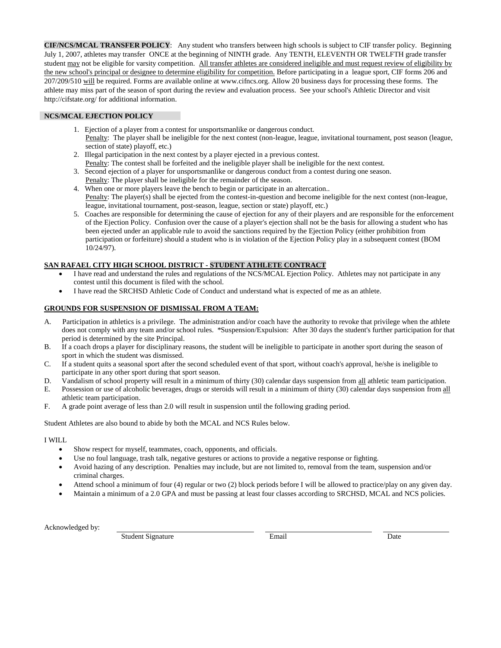**CIF/NCS/MCAL TRANSFER POLICY**: Any student who transfers between high schools is subject to CIF transfer policy. Beginning July 1, 2007, athletes may transfer ONCE at the beginning of NINTH grade. Any TENTH, ELEVENTH OR TWELFTH grade transfer student may not be eligible for varsity competition. All transfer athletes are considered ineligible and must request review of eligibility by the new school's principal or designee to determine eligibility for competition. Before participating in a league sport, CIF forms 206 and 207/209/510 will be required. Forms are available online at www.cifncs.org. Allow 20 business days for processing these forms. The athlete may miss part of the season of sport during the review and evaluation process. See your school's Athletic Director and visit http://cifstate.org/ for additional information.

#### **NCS/MCAL EJECTION POLICY**

- 1. Ejection of a player from a contest for unsportsmanlike or dangerous conduct. Penalty: The player shall be ineligible for the next contest (non-league, league, invitational tournament, post season (league, section of state) playoff, etc.)
- 2. Illegal participation in the next contest by a player ejected in a previous contest. Penalty: The contest shall be forfeited and the ineligible player shall be ineligible for the next contest.
- 3. Second ejection of a player for unsportsmanlike or dangerous conduct from a contest during one season. Penalty: The player shall be ineligible for the remainder of the season.
- 4. When one or more players leave the bench to begin or participate in an altercation.. Penalty: The player(s) shall be ejected from the contest-in-question and become ineligible for the next contest (non-league, league, invitational tournament, post-season, league, section or state) playoff, etc.)
- 5. Coaches are responsible for determining the cause of ejection for any of their players and are responsible for the enforcement of the Ejection Policy. Confusion over the cause of a player's ejection shall not be the basis for allowing a student who has been ejected under an applicable rule to avoid the sanctions required by the Ejection Policy (either prohibition from participation or forfeiture) should a student who is in violation of the Ejection Policy play in a subsequent contest (BOM 10/24/97).

## **SAN RAFAEL CITY HIGH SCHOOL DISTRICT - STUDENT ATHLETE CONTRACT**

- I have read and understand the rules and regulations of the NCS/MCAL Ejection Policy. Athletes may not participate in any contest until this document is filed with the school.
- I have read the SRCHSD Athletic Code of Conduct and understand what is expected of me as an athlete.

## **GROUNDS FOR SUSPENSION OF DISMISSAL FROM A TEAM:**

- Participation in athletics is a privilege. The administration and/or coach have the authority to revoke that privilege when the athlete does not comply with any team and/or school rules. \*Suspension/Expulsion: After 30 days the student's further participation for that period is determined by the site Principal.
- B. If a coach drops a player for disciplinary reasons, the student will be ineligible to participate in another sport during the season of sport in which the student was dismissed.
- C. If a student quits a seasonal sport after the second scheduled event of that sport, without coach's approval, he/she is ineligible to participate in any other sport during that sport season.
- D. Vandalism of school property will result in a minimum of thirty (30) calendar days suspension from all athletic team participation.
- E. Possession or use of alcoholic beverages, drugs or steroids will result in a minimum of thirty (30) calendar days suspension from all athletic team participation.
- F. A grade point average of less than 2.0 will result in suspension until the following grading period.

Student Athletes are also bound to abide by both the MCAL and NCS Rules below.

#### I WILL

- Show respect for myself, teammates, coach, opponents, and officials.
- Use no foul language, trash talk, negative gestures or actions to provide a negative response or fighting.
- Avoid hazing of any description. Penalties may include, but are not limited to, removal from the team, suspension and/or criminal charges.
- Attend school a minimum of four (4) regular or two (2) block periods before I will be allowed to practice/play on any given day.
- Maintain a minimum of a 2.0 GPA and must be passing at least four classes according to SRCHSD, MCAL and NCS policies.

Acknowledged by:

Student Signature Email Email Date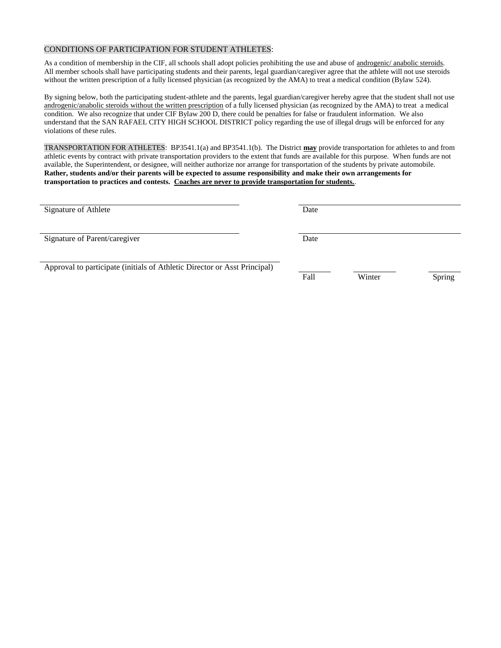#### CONDITIONS OF PARTICIPATION FOR STUDENT ATHLETES:

As a condition of membership in the CIF, all schools shall adopt policies prohibiting the use and abuse of androgenic/ anabolic steroids. All member schools shall have participating students and their parents, legal guardian/caregiver agree that the athlete will not use steroids without the written prescription of a fully licensed physician (as recognized by the AMA) to treat a medical condition (Bylaw 524).

By signing below, both the participating student-athlete and the parents, legal guardian/caregiver hereby agree that the student shall not use androgenic/anabolic steroids without the written prescription of a fully licensed physician (as recognized by the AMA) to treat a medical condition. We also recognize that under CIF Bylaw 200 D, there could be penalties for false or fraudulent information. We also understand that the SAN RAFAEL CITY HIGH SCHOOL DISTRICT policy regarding the use of illegal drugs will be enforced for any violations of these rules.

TRANSPORTATION FOR ATHLETES: BP3541.1(a) and BP3541.1(b). The District **may** provide transportation for athletes to and from athletic events by contract with private transportation providers to the extent that funds are available for this purpose. When funds are not available, the Superintendent, or designee, will neither authorize nor arrange for transportation of the students by private automobile. **Rather, students and/or their parents will be expected to assume responsibility and make their own arrangements for transportation to practices and contests. Coaches are never to provide transportation for students.**.

| Signature of Athlete          | Date |  |
|-------------------------------|------|--|
| Signature of Parent/caregiver | Date |  |
|                               |      |  |

Approval to participate (initials of Athletic Director or Asst Principal)

Fall Winter Spring